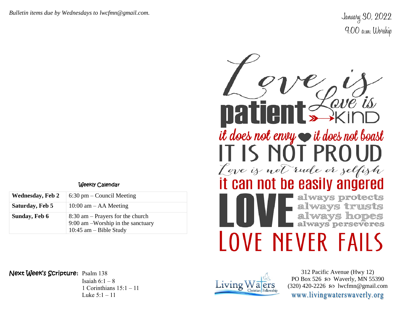*Bulletin items due by Wednesdays to lwcfmn@gmail.com.*

January 30, 2022 9:00 a.m. Worship

## Weekly Calendar

| <b>Wednesday, Feb 2</b> | $6:30$ pm – Council Meeting                                                                           |  |
|-------------------------|-------------------------------------------------------------------------------------------------------|--|
| Saturday, Feb 5         | $10:00$ am $-$ AA Meeting                                                                             |  |
| Sunday, Feb 6           | $8:30$ am – Prayers for the church<br>$9:00$ am -Worship in the sanctuary<br>10:45 am $-$ Bible Study |  |



Next Week's Scripture**:** Psalm 138

Isaiah  $6:1-8$ 1 Corinthians  $15:1 - 11$ Luke 5:1 – 11



312 Pacific Avenue (Hwy 12) PO Box 526  $\infty$  Waverly, MN 55390 (320) 420-2226 so lwcfmn@gmail.com www.livingwaterswaverly.org